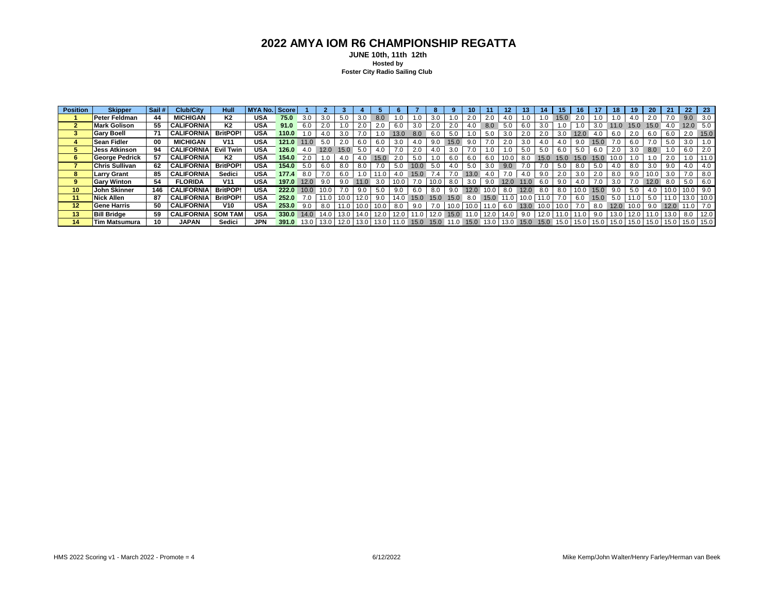## **2022 AMYA IOM R6 CHAMPIONSHIP REGATTA**

 **JUNE 10th, 11th 12th Hosted by Foster City Radio Sailing Club**

| <b>Position</b> | <b>Skipper</b>        | Sail # | Club/City                 | Hull             | MYA No. Score |       |      |                   |      |                   |      |      |           |         |                   |      |               |             |      |                   |      |             |      |      | 19   | 20   |        | 22   | - 23        |
|-----------------|-----------------------|--------|---------------------------|------------------|---------------|-------|------|-------------------|------|-------------------|------|------|-----------|---------|-------------------|------|---------------|-------------|------|-------------------|------|-------------|------|------|------|------|--------|------|-------------|
|                 | <b>Peter Feldman</b>  | 44     | <b>MICHIGAN</b>           | K <sub>2</sub>   | <b>USA</b>    | 75.0  | 3.0  | 3.0               | 5.0  |                   | 8.0  |      |           |         |                   | 2.0  | 2.0           | 4.0         |      | 1.0               | 15.0 | 2.0         |      |      |      | 2.0  |        | 9.0  |             |
|                 | <b>Mark Golison</b>   | 55     | <b>CALIFORNIA</b>         | K2               | <b>USA</b>    | 91.0  | 6.0  | 2.0               |      |                   |      | 6.0  | 3.0       |         | 2.0               | 4.0  | 8.0           | 5.0         | 6.0  | 3.0               | 1.0  | 1.0         | 3.0  | 11.0 | 15.0 | 15.0 |        | 12.0 | 5.0         |
|                 | <b>Gary Boell</b>     | 71     | <b>CALIFORNIA</b>         | <b>BritPOP!</b>  | <b>USA</b>    | 110.0 | 1.0  |                   | 3.0  |                   |      | 13.0 |           |         | 5.0               | 0. ا | 5.0           | 3.0         | 2.0  | 2.0               | 3.0  | 12.0        | 4.0  |      |      | 6.0  |        |      | 15.0        |
|                 | <b>Sean Fidler</b>    | 00     | <b>MICHIGAN</b>           | V <sub>11</sub>  | <b>USA</b>    | 121.0 | 11.0 | 5.0               | 2.0  | 6.0               |      | 3.0  |           | 9.0     | 15.0              | 9.0  | 7.0           | 2.0         | 3.0  | 4.0               | 4.0  | 9.0         | 15.0 |      | -6.0 | 7.0  | 5.0    | 3.0  | 1.0         |
|                 | <b>Jess Atkinson</b>  | 94     | <b>CALIFORNIA</b>         | <b>Evil Twin</b> | USA           | 126.0 | 4.0  | 12.0              | 15.0 | 5.0               | 4.0  | 7.0  | 2.0       | 4.0     | 3.0               | 7.0  | 1.0           | 1.0         | 5.0  | 5.0               | 6.0  | 5.0         | 6.0  | 2.0  | 3.0  | 8.0  |        | 6.0  | 2.0         |
|                 | George Pedrick        | 57     | <b>CALIFORNIA</b>         | K2               | USA           | 154.0 | 2.0  |                   | 4.0  | 4.0               | 15.0 | 2.0  | 5.0       | 1.0     | 6.0               | 6.0  | 6.0           | 10.0        | 8.0  | 15.0              | 15.0 | 15.0        | 15.0 | 10.0 |      | 1.0  | 2.0    | 1.0  | 11.0        |
|                 | <b>Chris Sullivan</b> | 62     | <b>CALIFORNIA</b>         | <b>BritPOP!</b>  | <b>USA</b>    | 154.0 | 5.0  | 6.0               | 8.0  | 8.0               |      | 5.0  | 10.0      |         |                   | 5.0  | 3.0           | 9.0         |      | 7.0               | 5.0  | 8.0         | 5.0  |      | 8.0  | 3.0  |        |      | 4.0         |
|                 | Larry Grant           | 85     | <b>CALIFORNIA</b>         | Sedici           | <b>USA</b>    | 177.4 | 8.0  |                   | 6.0  | 1.0               |      | 4.0  | 15.0      | 7.4     | 7.0               | 13.0 | 4.0           | 7.0         | 4.0  | 9.0               | 2.0  | 3.0         | 2.0  | 8.0  | 9.0  | 10.0 | 3.0    |      | 8.0         |
|                 | <b>Gary Winton</b>    | 54     | <b>FLORIDA</b>            | V <sub>11</sub>  | <b>USA</b>    | 197.0 | 12.0 | 9.0               | 9.0  | 11.0              | 3.0  | 10.0 | 7.0       | 10.0    | 8.0               | 3.0  | 9.0           | 12.0        | 11.0 | 6.0               | 9.0  | 4.0         | 7.0  | 3.0  |      | 12.0 | 8.0    | 5.0  | 6.0         |
| 10              | <b>John Skinner</b>   | 146    | <b>CALIFORNIA</b>         | <b>BritPOP!</b>  | USA           | 222.0 | 10.0 | 10.0              | 7.0  | 9.0               | 5.0  | 9.0  | 6.0       |         | 9.0               | 12.0 | 10.01         | 8.0         | 12.0 | 8.0               | 8.0  | 10.0        | 15.0 | 9.0  | 5.0  |      |        |      |             |
| 11              | Nick Allen            | 87     | <b>CALIFORNIA</b>         | <b>BritPOP!</b>  | <b>USA</b>    | 252.0 | 7.0  | 11.0              |      | 10.0   12.0       | 9.0  |      | 14.0 15.0 | $-15.0$ | 15.0              | 8.0  | $15.0$ 11.0   |             |      | $10.0$   11.0     | 7.0  | 6.0         | 15.0 | 5.0  | 11.0 | 5.0  | 11.0   | 13.0 | 10.0        |
| 12              | <b>Gene Harris</b>    | 50     | <b>CALIFORNIA</b>         | V <sub>10</sub>  | <b>USA</b>    | 253.0 | 9.0  | 8.0               | 11.0 | 10.0 <sub>1</sub> | 10.0 | 8.0  | 9.0       | 7.0     | 10.0 <sub>1</sub> | 10.0 | $11.0$ 6.0    |             | 13.0 | 10.0 <sub>1</sub> | 10.0 | 7.0         | 8.0  | 12.0 | 10.0 | 9.0  | 12.0   |      | 7.0         |
| 13              | <b>Bill Bridge</b>    | 59     | <b>CALIFORNIA SOM TAM</b> |                  | <b>USA</b>    | 330.0 | 14.0 | 14.0 <sub>1</sub> | 13.0 | 14.0 12.0         |      | 12.0 | 11.0      | 12.0    | 15.0              |      | $11.0$   12.0 | 14.0        | 9.0  | $12.0$   11.0     |      | 11.0        | 9.0  | 13.0 |      |      | 13.0   | 8.0  | 12.0        |
| 14              | <b>Tim Matsumura</b>  | 10     | <b>JAPAN</b>              | Sedici           | JPN           | 391.0 | 13.0 | 13.0              | 12.0 | 13.0              | 13.0 |      | 15.0      | 15.0    |                   | 15.0 |               | 13.0   13.0 | 15.0 | 15.0              |      | 15.0   15.0 | 15.0 | 15.0 | 15.0 | 15.0 | 15.0 l |      | 15.0   15.0 |